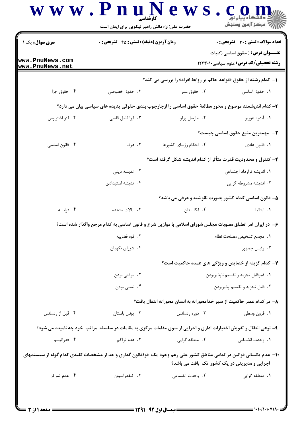|                                    | رُ⁄ کرڪز آزمون وسنڊش<br>حضرت علی(ع): دانش راهبر نیکویی برای ایمان است |                                                                                                                                                                      |                                                                                          |  |
|------------------------------------|-----------------------------------------------------------------------|----------------------------------------------------------------------------------------------------------------------------------------------------------------------|------------------------------------------------------------------------------------------|--|
| سری سوال : یک ۱                    | <b>زمان آزمون (دقیقه) : تستی : 45 تشریحی : 0</b>                      |                                                                                                                                                                      | <b>تعداد سوالات : تستی : 30 ٪ تشریحی : 0</b>                                             |  |
| www.PnuNews.com<br>www.PnuNews.net |                                                                       |                                                                                                                                                                      | <b>عنـــوان درس:</b> ( حقوق اساسی (کلیات<br><b>رشته تحصیلی/کد درس:</b> علوم سیاسی1۲۲۳۰۱۰ |  |
|                                    |                                                                       | <b>ا</b> – کدام رشته از حقوق «قواعد حاکم بر روابط افراد» را بررسی می کند؟                                                                                            |                                                                                          |  |
| ۰۴ حقوق جزا                        | ۰۳ حقوق خصوصی                                                         | ۰۲ حقوق بشر                                                                                                                                                          | ٠١ حقوق اساسي                                                                            |  |
|                                    |                                                                       | ۲– کدام اندیشمند موضوع و محور مطالعهٔ حقوق اساسی را ازچارچوب بندی حقوقی پدیده های سیاسی بیان می دارد؟                                                                |                                                                                          |  |
| ۰۴ لئو اشتراوس                     | ۰۳ ابوالفضل قاضی                                                      | ۰۲ مارسل پرلو                                                                                                                                                        | ۰۱ آندره هوريو                                                                           |  |
|                                    |                                                                       |                                                                                                                                                                      | <b>٣</b> — مهمترين منبع حقوق اساسي چيست؟                                                 |  |
| ۰۴ قانون اساسی                     | ۰۳ عرف                                                                | ۲. احکام رؤسای کشورها                                                                                                                                                | ٠١. قانون عادي                                                                           |  |
|                                    | ۴- کنترل و محدودیت قدرت متأثر از کدام اندیشه شکل گرفته است؟           |                                                                                                                                                                      |                                                                                          |  |
|                                    | ۲. اندیشه دینی                                                        |                                                                                                                                                                      | 1. اندیشه قرارداد اجتماعی                                                                |  |
|                                    | ۰۴ اندیشه استبدادی                                                    |                                                                                                                                                                      | ۰۳ اندیشه مشروطه گرایی                                                                   |  |
|                                    |                                                                       | ۵– قانون اساسی کدام کشور بصورت نانوشته و عرفی می باشد؟                                                                                                               |                                                                                          |  |
| ۰۴ فرانسه                          | ۰۳ ایالات متحده                                                       | ۰۲ انگلستان                                                                                                                                                          | ۰۱. ایتالیا                                                                              |  |
|                                    |                                                                       | ۶- در ایران امر انطباق مصوبات مجلس شورای اسلامی با موازین شرع و قانون اساسی به کدام مرجع واگذار شده است؟                                                             |                                                                                          |  |
|                                    | ٠٢ قوه قضاييه                                                         |                                                                                                                                                                      | ٠١. مجمع تشخيص مصلحت نظام                                                                |  |
|                                    | ۰۴ شورای نگهبان                                                       |                                                                                                                                                                      | ۰۳ رئیس جمهور                                                                            |  |
|                                    |                                                                       | ٧- کدام گزینه از خصایص و ویژگی های عمده حاکمیت است؟                                                                                                                  |                                                                                          |  |
|                                    | ۰۲ موقتی بودن                                                         |                                                                                                                                                                      | ٠١ غيرقابل تجزيه وتقسيم ناپذيربودن<br>٢. قابل تجزيه و تقسيم پذيربودن                     |  |
|                                    | ۰۴ نسبی بودن                                                          |                                                                                                                                                                      |                                                                                          |  |
|                                    |                                                                       | ۸– در کدام عصر حاکمیت از سیر خدامحورانه به انسان محورانه انتقال یافت؟                                                                                                |                                                                                          |  |
| ۰۴ قبل از رنسانس                   | ٠٣ يونان باستان                                                       | ۰۲ دوره رنسانس                                                                                                                                                       | ٠١. قرون وسطى                                                                            |  |
|                                    |                                                                       | ۹- نوعی انتقال و تفویض اختیارات اداری و اجرایی از سوی مقامات مرکزی به مقامات در سلسله ًمراتب خود چه نامیده می شود؟                                                   |                                                                                          |  |
| ۰۴ فدرالیسم                        | ۰۳ عدم تراکم                                                          | ۲. منطقه گرایی                                                                                                                                                       | ٠١. وحدت انضمامي                                                                         |  |
|                                    |                                                                       | ۱۰– عدم یکسانی قوانین در تمامی مناطق کشور علی رغم وجود یک قوهٔقانون گذاری واحد از مشخصات کلیدی کدام گونه از سیستمهای<br>اجرایی و مدیریتی در یک کشور تک بافت می باشد؟ |                                                                                          |  |
| ۰۴ عدم تمرکز                       | ۰۳ کنفدراسيون                                                         | ۲. وحدت انضمامی                                                                                                                                                      | ۰۱ منطقه گرايي                                                                           |  |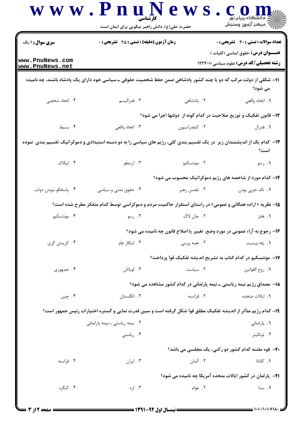|                                    | حضرت علی(ع): دانش راهبر نیکویی برای ایمان است                                                                            |                                                                            | \ <i>\\\`` مرڪ</i> ز آزمون وسنڊش                           |
|------------------------------------|--------------------------------------------------------------------------------------------------------------------------|----------------------------------------------------------------------------|------------------------------------------------------------|
| <b>سری سوال : ۱ یک</b>             | زمان آزمون (دقیقه) : تستی : 45 آتشریحی : 0                                                                               |                                                                            | <b>تعداد سوالات : تستی : 30 ٪ تشریحی : 0</b>               |
| www.PnuNews.com<br>www.PnuNews.net | <b>عنـــوان درس:</b> حقوق اساسی (کلیات )<br><b>رشته تحصیلی/کد درس:</b> علوم سیاسی1۲۲۳۰۱۰                                 |                                                                            |                                                            |
|                                    | ۱۱– شکلی از دولت مرکب که دو یا چند کشور پادشاهی ضمن حفظ شخصیت حقوقی ــ سیاسی خود دارای یک پادشاه باشند، چه نامیده        |                                                                            | می شود؟                                                    |
| ۰۴ اتحاد شخصی                      | ۰۳ فدرالیسم                                                                                                              | ۲ . پادشاهی                                                                | ٠١. اتحاد واقعي                                            |
|                                    |                                                                                                                          | ۱۲- قانون تفکیک و توزیع صلاحیت در کدام گونه از دولتها اجرا می شود؟         |                                                            |
| ۰۴ بسیط                            | ۰۳ اتحاد واقعی                                                                                                           | ٠٢ كنفدراسيون                                                              | ۰۱ فدرال                                                   |
|                                    | ۱۳– کدام یک از اندیشمندان زیر ً در یک تقسیم بندی کلی، رژیم های سیاسی را به دو دسته استبدادی و دموکراتیک تقسیم بندی نموده |                                                                            | است؟                                                       |
| ۰۴ لیکاک                           | ۰۳ ارسطو                                                                                                                 | ۲. مونتسکیو                                                                | ۰۱ رسو                                                     |
|                                    | <b>۱۴</b> - کدام مورد از شاخصه های رژیم دموکراتیک محسوب می شود؟                                                          |                                                                            |                                                            |
| ۴. پاسخگو نبودن دولت               | ۰۳ حقوق مدنی و سیاسی                                                                                                     | ۲. تقدس رهبر                                                               | ۰۱ تک حزبی بودن                                            |
|                                    | ۱۵– نظریه « اراده همگانی و عمومی» در راستای استقرار حاکمیت مردم و دموکراسی توسط کدام متفکر مطرح شده است؟                 |                                                                            |                                                            |
| ۰۴ مونتسکیو                        | ۰۳ رسو                                                                                                                   | ۰۲ جان لاک                                                                 | 1. هابز                                                    |
|                                    |                                                                                                                          | ۱۶- رجوع به آراء عمومی در مورد وضع، تغییر یا اصلاح قانون چه نامیده می شود؟ |                                                            |
| ۰۴ گزینش گری                       | ۰۳ ابتکار عام                                                                                                            | ۲. همه پرسی                                                                | ٠١. پله بيسيت                                              |
|                                    |                                                                                                                          | ۱۷– مونتسکیو در کدام کتاب به تشریح اندیشه تفکیک قوا پرداخت؟                |                                                            |
| ۴. جمهوری                          | ۰۳ لوياتان                                                                                                               | ۰۲ سیاست                                                                   | ٠١. روح القوانين                                           |
|                                    |                                                                                                                          | ۱۸– مصداق رژیم نیمه ریاستی ـ نیمه پارلمانی در کدام کشور مشاهده می شود؟     |                                                            |
| ۰۴ چين                             | ۰۳ انگلستان                                                                                                              | ۰۲ فرانسه                                                                  | 1. ايالات متحده                                            |
|                                    | ۱۹– کدام رژیم متأثر از اندیشه تفکیک مطلق قوا شکل گرفته است و مبین قدرت نمایی و گستره اختیارات رئیس جمهور است؟            |                                                                            |                                                            |
|                                    | ۲. نیمه ریاستی ـ نیمه پارلمانی                                                                                           |                                                                            | <b>۱</b> . پارلمانی                                        |
|                                    | ۰۴ رياستي                                                                                                                |                                                                            | ۰۳ توتاليتر                                                |
|                                    |                                                                                                                          |                                                                            | <b>۲۰</b> - قوه مقننه کدام کشور دو رکنی، یک مجلسی می باشد؟ |
| ۰۴ فرانسه                          | ۰۳ ایران                                                                                                                 | ٢. آلمان                                                                   | ۰۱ کانادا                                                  |
|                                    |                                                                                                                          | ۲۱– پارلمان در کشور ایالات متحده آمریکا چه نامیده می شود؟                  |                                                            |
| ۴. کنگره                           | ۰۳ لرد                                                                                                                   | ۰۲ عوام                                                                    | ۰۱ سنا                                                     |